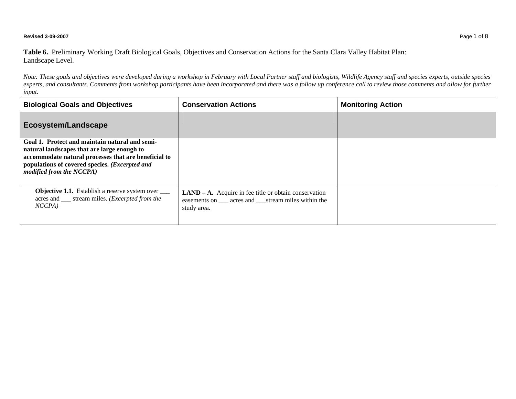## **Revised 3-09-2007** Page 1 of 8

**Table 6.** Preliminary Working Draft Biological Goals, Objectives and Conservation Actions for the Santa Clara Valley Habitat Plan: Landscape Level.

*Note: These goals and objectives were developed during a workshop in February with Local Partner staff and biologists, Wildlife Agency staff and species experts, outside species*  experts, and consultants. Comments from workshop participants have been incorporated and there was a follow up conference call to review those comments and allow for further *input.* 

| <b>Biological Goals and Objectives</b>                                                                                                                                                                                              | <b>Conservation Actions</b>                                                                                              | <b>Monitoring Action</b> |
|-------------------------------------------------------------------------------------------------------------------------------------------------------------------------------------------------------------------------------------|--------------------------------------------------------------------------------------------------------------------------|--------------------------|
| <b>Ecosystem/Landscape</b>                                                                                                                                                                                                          |                                                                                                                          |                          |
| Goal 1. Protect and maintain natural and semi-<br>natural landscapes that are large enough to<br>accommodate natural processes that are beneficial to<br>populations of covered species. (Excerpted and<br>modified from the NCCPA) |                                                                                                                          |                          |
| <b>Objective 1.1.</b> Establish a reserve system over _____<br>acres and ____ stream miles. ( <i>Excerpted from the</i><br>$NCCPA$ )                                                                                                | $LAND - A. Acquire in fee title or obtain conservation$<br>easements on acres and stream miles within the<br>study area. |                          |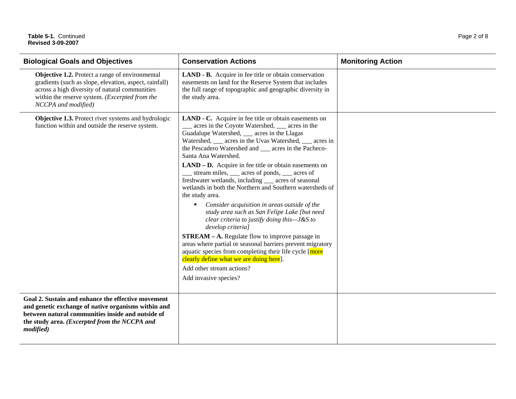| <b>Biological Goals and Objectives</b>                                                                                                                                                                                                      | <b>Conservation Actions</b>                                                                                                                                                                                                                                                                                                                                                                                                                                                                                                                                                                                                                                                                                                                                                                                                                                                               | <b>Monitoring Action</b> |
|---------------------------------------------------------------------------------------------------------------------------------------------------------------------------------------------------------------------------------------------|-------------------------------------------------------------------------------------------------------------------------------------------------------------------------------------------------------------------------------------------------------------------------------------------------------------------------------------------------------------------------------------------------------------------------------------------------------------------------------------------------------------------------------------------------------------------------------------------------------------------------------------------------------------------------------------------------------------------------------------------------------------------------------------------------------------------------------------------------------------------------------------------|--------------------------|
| <b>Objective 1.2.</b> Protect a range of environmental<br>gradients (such as slope, elevation, aspect, rainfall)<br>across a high diversity of natural communities<br>within the reserve system. (Excerpted from the<br>NCCPA and modified) | LAND - B. Acquire in fee title or obtain conservation<br>easements on land for the Reserve System that includes<br>the full range of topographic and geographic diversity in<br>the study area.                                                                                                                                                                                                                                                                                                                                                                                                                                                                                                                                                                                                                                                                                           |                          |
| Objective 1.3. Protect river systems and hydrologic<br>function within and outside the reserve system.                                                                                                                                      | LAND - C. Acquire in fee title or obtain easements on<br>acres in the Coyote Watershed, ___ acres in the<br>Guadalupe Watershed, ___ acres in the Llagas<br>Watershed, ___ acres in the Uvas Watershed, ___ acres in<br>the Pescadero Watershed and ___ acres in the Pacheco-<br>Santa Ana Watershed.<br>$LAND - D.$ Acquire in fee title or obtain easements on<br>stream miles, <u>equal</u> acres of ponds, <u>equal</u> acres of<br>freshwater wetlands, including ___ acres of seasonal<br>wetlands in both the Northern and Southern watersheds of<br>the study area.<br>Consider acquisition in areas outside of the<br>$\blacksquare$<br>study area such as San Felipe Lake [but need<br>clear criteria to justify doing this-J&S to<br>develop criteria]<br><b>STREAM - A.</b> Regulate flow to improve passage in<br>areas where partial or seasonal barriers prevent migratory |                          |
|                                                                                                                                                                                                                                             | aquatic species from completing their life cycle [more<br>clearly define what we are doing here.<br>Add other stream actions?<br>Add invasive species?                                                                                                                                                                                                                                                                                                                                                                                                                                                                                                                                                                                                                                                                                                                                    |                          |
| Goal 2. Sustain and enhance the effective movement<br>and genetic exchange of native organisms within and<br>between natural communities inside and outside of<br>the study area. (Excerpted from the NCCPA and<br>modified)                |                                                                                                                                                                                                                                                                                                                                                                                                                                                                                                                                                                                                                                                                                                                                                                                                                                                                                           |                          |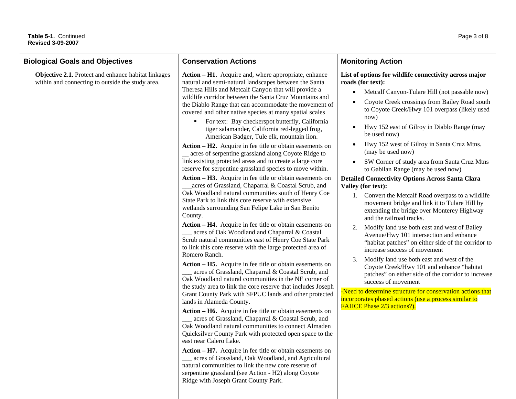## **Table 5-1.** Continued Page 3 of 8 **Revised 3-09-2007**

| יטט זיטיע שטפוייט                                                                                       |                                                                                                                                                                                                                                                                                                                                                                                                                                                                                                                                                                                                                                                                                                                                                                                               |                                                                                                                                                                                                                                                                                                                                                                                                                                                                                                                                                                                                                                                                                                    |
|---------------------------------------------------------------------------------------------------------|-----------------------------------------------------------------------------------------------------------------------------------------------------------------------------------------------------------------------------------------------------------------------------------------------------------------------------------------------------------------------------------------------------------------------------------------------------------------------------------------------------------------------------------------------------------------------------------------------------------------------------------------------------------------------------------------------------------------------------------------------------------------------------------------------|----------------------------------------------------------------------------------------------------------------------------------------------------------------------------------------------------------------------------------------------------------------------------------------------------------------------------------------------------------------------------------------------------------------------------------------------------------------------------------------------------------------------------------------------------------------------------------------------------------------------------------------------------------------------------------------------------|
| <b>Biological Goals and Objectives</b>                                                                  | <b>Conservation Actions</b>                                                                                                                                                                                                                                                                                                                                                                                                                                                                                                                                                                                                                                                                                                                                                                   | <b>Monitoring Action</b>                                                                                                                                                                                                                                                                                                                                                                                                                                                                                                                                                                                                                                                                           |
| Objective 2.1. Protect and enhance habitat linkages<br>within and connecting to outside the study area. | Action – H1. Acquire and, where appropriate, enhance<br>natural and semi-natural landscapes between the Santa<br>Theresa Hills and Metcalf Canyon that will provide a<br>wildlife corridor between the Santa Cruz Mountains and<br>the Diablo Range that can accommodate the movement of<br>covered and other native species at many spatial scales<br>For text: Bay checkerspot butterfly, California<br>٠<br>tiger salamander, California red-legged frog,<br>American Badger, Tule elk, mountain lion.<br>Action – H2. Acquire in fee title or obtain easements on<br>_ acres of serpentine grassland along Coyote Ridge to<br>link existing protected areas and to create a large core<br>reserve for serpentine grassland species to move within.                                        | List of options for wildlife connectivity across major<br>roads (for text):<br>Metcalf Canyon-Tulare Hill (not passable now)<br>$\bullet$<br>Coyote Creek crossings from Bailey Road south<br>$\bullet$<br>to Coyote Creek/Hwy 101 overpass (likely used<br>now)<br>Hwy 152 east of Gilroy in Diablo Range (may<br>$\bullet$<br>be used now)<br>Hwy 152 west of Gilroy in Santa Cruz Mtns.<br>$\bullet$<br>(may be used now)<br>SW Corner of study area from Santa Cruz Mtns<br>to Gabilan Range (may be used now)                                                                                                                                                                                 |
|                                                                                                         | Action – H3. Acquire in fee title or obtain easements on<br>acres of Grassland, Chaparral & Coastal Scrub, and<br>Oak Woodland natural communities south of Henry Coe<br>State Park to link this core reserve with extensive<br>wetlands surrounding San Felipe Lake in San Benito<br>County.<br>Action – H4. Acquire in fee title or obtain easements on<br>acres of Oak Woodland and Chaparral & Coastal<br>Scrub natural communities east of Henry Coe State Park<br>to link this core reserve with the large protected area of<br>Romero Ranch.<br>Action – H5. Acquire in fee title or obtain easements on<br>acres of Grassland, Chaparral & Coastal Scrub, and<br>Oak Woodland natural communities in the NE corner of<br>the study area to link the core reserve that includes Joseph | <b>Detailed Connectivity Options Across Santa Clara</b><br>Valley (for text):<br>1. Convert the Metcalf Road overpass to a wildlife<br>movement bridge and link it to Tulare Hill by<br>extending the bridge over Monterey Highway<br>and the railroad tracks.<br>Modify land use both east and west of Bailey<br>2.<br>Avenue/Hwy 101 intersection and enhance<br>"habitat patches" on either side of the corridor to<br>increase success of movement<br>Modify land use both east and west of the<br>3.<br>Coyote Creek/Hwy 101 and enhance "habitat<br>patches" on either side of the corridor to increase<br>success of movement<br>-Need to determine structure for conservation actions that |
|                                                                                                         | Grant County Park with SFPUC lands and other protected<br>lands in Alameda County.                                                                                                                                                                                                                                                                                                                                                                                                                                                                                                                                                                                                                                                                                                            | incorporates phased actions (use a process similar to                                                                                                                                                                                                                                                                                                                                                                                                                                                                                                                                                                                                                                              |

acres of Grassland, Chaparral & Coastal Scrub, and Oak Woodland natural communities to connect Almaden Quicksilver County Park with protected open space to the

**Action – H7.** Acquire in fee title or obtain easements on acres of Grassland, Oak Woodland, and Agricultural

natural communities to link the new core reserve of serpentine grassland (see Action - H2) along Coyote

Ridge with Joseph Grant County Park.

east near Calero Lake.

**Action – H6.** Acquire in fee title or obtain easements on FAHCE Phase 2/3 actions?).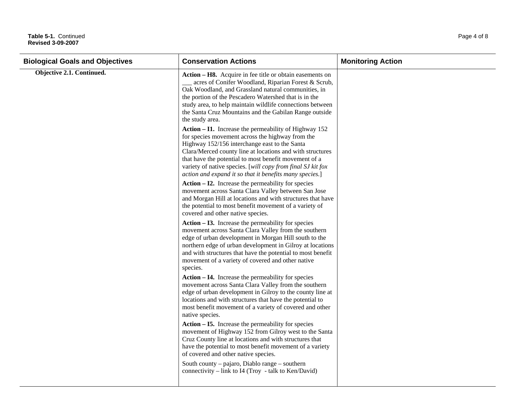## Table 5-1. Continued Page 4 of 8 **Revised 3-09-2007**

| <b>Biological Goals and Objectives</b> | <b>Conservation Actions</b>                                                                                                                                                                                                                                                                                                                                                                                  | <b>Monitoring Action</b> |
|----------------------------------------|--------------------------------------------------------------------------------------------------------------------------------------------------------------------------------------------------------------------------------------------------------------------------------------------------------------------------------------------------------------------------------------------------------------|--------------------------|
| Objective 2.1. Continued.              | Action – H8. Acquire in fee title or obtain easements on<br>acres of Conifer Woodland, Riparian Forest & Scrub,<br>Oak Woodland, and Grassland natural communities, in<br>the portion of the Pescadero Watershed that is in the<br>study area, to help maintain wildlife connections between<br>the Santa Cruz Mountains and the Gabilan Range outside<br>the study area.                                    |                          |
|                                        | Action $-$ I1. Increase the permeability of Highway 152<br>for species movement across the highway from the<br>Highway 152/156 interchange east to the Santa<br>Clara/Merced county line at locations and with structures<br>that have the potential to most benefit movement of a<br>variety of native species. [will copy from final SJ kit fox<br>action and expand it so that it benefits many species.] |                          |
|                                        | $Action - I2.$ Increase the permeability for species<br>movement across Santa Clara Valley between San Jose<br>and Morgan Hill at locations and with structures that have<br>the potential to most benefit movement of a variety of<br>covered and other native species.                                                                                                                                     |                          |
|                                        | $Action - I3.$ Increase the permeability for species<br>movement across Santa Clara Valley from the southern<br>edge of urban development in Morgan Hill south to the<br>northern edge of urban development in Gilroy at locations<br>and with structures that have the potential to most benefit<br>movement of a variety of covered and other native<br>species.                                           |                          |
|                                        | $Action - I4.$ Increase the permeability for species<br>movement across Santa Clara Valley from the southern<br>edge of urban development in Gilroy to the county line at<br>locations and with structures that have the potential to<br>most benefit movement of a variety of covered and other<br>native species.                                                                                          |                          |
|                                        | $Action - I5$ . Increase the permeability for species<br>movement of Highway 152 from Gilroy west to the Santa<br>Cruz County line at locations and with structures that<br>have the potential to most benefit movement of a variety<br>of covered and other native species.<br>South county – pajaro, Diablo range – southern                                                                               |                          |
|                                        | connectivity – link to I4 (Troy - talk to Ken/David)                                                                                                                                                                                                                                                                                                                                                         |                          |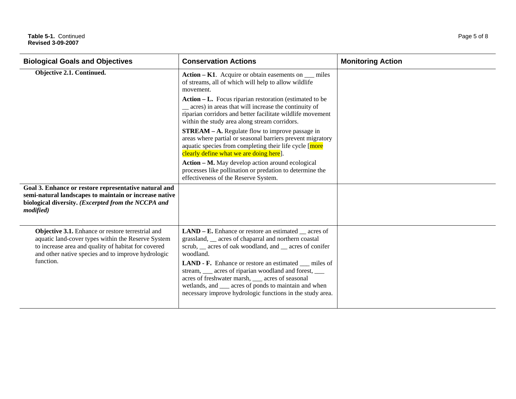| <b>Biological Goals and Objectives</b>                                                                                                                                                                                            | <b>Conservation Actions</b>                                                                                                                                                                                                                                                                                                                                                                                                                                                                                           | <b>Monitoring Action</b> |
|-----------------------------------------------------------------------------------------------------------------------------------------------------------------------------------------------------------------------------------|-----------------------------------------------------------------------------------------------------------------------------------------------------------------------------------------------------------------------------------------------------------------------------------------------------------------------------------------------------------------------------------------------------------------------------------------------------------------------------------------------------------------------|--------------------------|
| Objective 2.1. Continued.                                                                                                                                                                                                         | Action $-$ K1. Acquire or obtain easements on $\_\_$ miles<br>of streams, all of which will help to allow wildlife<br>movement.                                                                                                                                                                                                                                                                                                                                                                                       |                          |
|                                                                                                                                                                                                                                   | Action – L. Focus riparian restoration (estimated to be<br>_ acres) in areas that will increase the continuity of<br>riparian corridors and better facilitate wildlife movement<br>within the study area along stream corridors.                                                                                                                                                                                                                                                                                      |                          |
|                                                                                                                                                                                                                                   | <b>STREAM – A.</b> Regulate flow to improve passage in<br>areas where partial or seasonal barriers prevent migratory<br>aquatic species from completing their life cycle [more<br>clearly define what we are doing here.                                                                                                                                                                                                                                                                                              |                          |
|                                                                                                                                                                                                                                   | Action – M. May develop action around ecological<br>processes like pollination or predation to determine the<br>effectiveness of the Reserve System.                                                                                                                                                                                                                                                                                                                                                                  |                          |
| Goal 3. Enhance or restore representative natural and<br>semi-natural landscapes to maintain or increase native<br>biological diversity. (Excerpted from the NCCPA and<br><i>modified</i> )                                       |                                                                                                                                                                                                                                                                                                                                                                                                                                                                                                                       |                          |
| Objective 3.1. Enhance or restore terrestrial and<br>aquatic land-cover types within the Reserve System<br>to increase area and quality of habitat for covered<br>and other native species and to improve hydrologic<br>function. | $LAND - E$ . Enhance or restore an estimated $\_\_\$ acres of<br>grassland, __ acres of chaparral and northern coastal<br>scrub, __ acres of oak woodland, and __ acres of conifer<br>woodland.<br><b>LAND - F.</b> Enhance or restore an estimated miles of<br>stream, <u>example</u> acres of riparian woodland and forest, <u>example</u><br>acres of freshwater marsh, __ acres of seasonal<br>wetlands, and ___ acres of ponds to maintain and when<br>necessary improve hydrologic functions in the study area. |                          |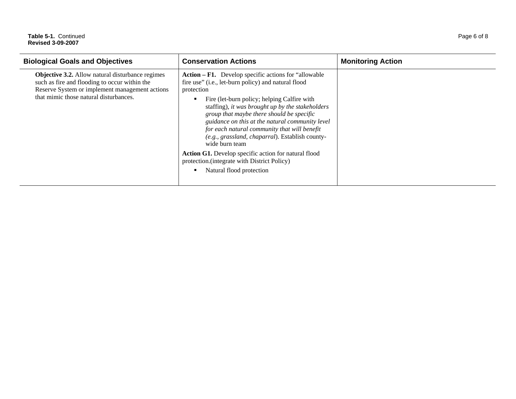## Table 5-1. Continued Page 6 of 8 **Revised 3-09-2007**

| <b>Biological Goals and Objectives</b>                                                                                                                                                               | <b>Conservation Actions</b>                                                                                                                                                                                                                                                                                                                                                                                                                        | <b>Monitoring Action</b> |
|------------------------------------------------------------------------------------------------------------------------------------------------------------------------------------------------------|----------------------------------------------------------------------------------------------------------------------------------------------------------------------------------------------------------------------------------------------------------------------------------------------------------------------------------------------------------------------------------------------------------------------------------------------------|--------------------------|
| <b>Objective 3.2.</b> Allow natural disturbance regimes<br>such as fire and flooding to occur within the<br>Reserve System or implement management actions<br>that mimic those natural disturbances. | Action – F1. Develop specific actions for "allowable"<br>fire use" (i.e., let-burn policy) and natural flood<br>protection<br>Fire (let-burn policy; helping Calfire with<br>staffing), it was brought up by the stakeholders<br>group that maybe there should be specific<br>guidance on this at the natural community level<br>for each natural community that will benefit<br>(e.g., grassland, chaparral). Establish county-<br>wide burn team |                          |
|                                                                                                                                                                                                      | Action G1. Develop specific action for natural flood<br>protection. (integrate with District Policy)<br>Natural flood protection<br>$\blacksquare$                                                                                                                                                                                                                                                                                                 |                          |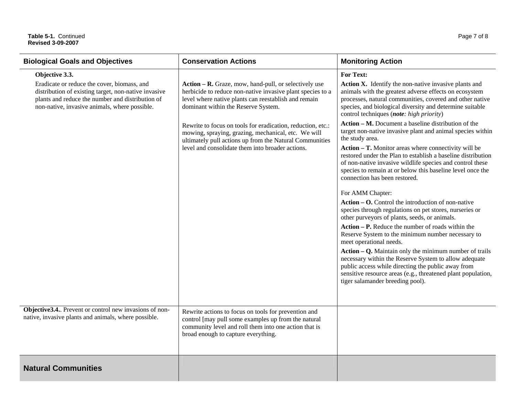| <b>Biological Goals and Objectives</b>                                                                                                                                                                                     | <b>Conservation Actions</b>                                                                                                                                                                                                                                                                                                                                                                                                                             | <b>Monitoring Action</b>                                                                                                                                                                                                                                                                                                                                                                                                                                                                                                                                                                                                                                                                                                                                                                                                                                                                                                                                                                                                                                                                                                                                                                                                                                                                                                                            |
|----------------------------------------------------------------------------------------------------------------------------------------------------------------------------------------------------------------------------|---------------------------------------------------------------------------------------------------------------------------------------------------------------------------------------------------------------------------------------------------------------------------------------------------------------------------------------------------------------------------------------------------------------------------------------------------------|-----------------------------------------------------------------------------------------------------------------------------------------------------------------------------------------------------------------------------------------------------------------------------------------------------------------------------------------------------------------------------------------------------------------------------------------------------------------------------------------------------------------------------------------------------------------------------------------------------------------------------------------------------------------------------------------------------------------------------------------------------------------------------------------------------------------------------------------------------------------------------------------------------------------------------------------------------------------------------------------------------------------------------------------------------------------------------------------------------------------------------------------------------------------------------------------------------------------------------------------------------------------------------------------------------------------------------------------------------|
| Objective 3.3.<br>Eradicate or reduce the cover, biomass, and<br>distribution of existing target, non-native invasive<br>plants and reduce the number and distribution of<br>non-native, invasive animals, where possible. | Action – R. Graze, mow, hand-pull, or selectively use<br>herbicide to reduce non-native invasive plant species to a<br>level where native plants can reestablish and remain<br>dominant within the Reserve System.<br>Rewrite to focus on tools for eradication, reduction, etc.:<br>mowing, spraying, grazing, mechanical, etc. We will<br>ultimately pull actions up from the Natural Communities<br>level and consolidate them into broader actions. | <b>For Text:</b><br>Action X. Identify the non-native invasive plants and<br>animals with the greatest adverse effects on ecosystem<br>processes, natural communities, covered and other native<br>species, and biological diversity and determine suitable<br>control techniques (note: high priority)<br>Action – M. Document a baseline distribution of the<br>target non-native invasive plant and animal species within<br>the study area.<br>Action – T. Monitor areas where connectivity will be<br>restored under the Plan to establish a baseline distribution<br>of non-native invasive wildlife species and control these<br>species to remain at or below this baseline level once the<br>connection has been restored.<br>For AMM Chapter:<br>$Action - O.$ Control the introduction of non-native<br>species through regulations on pet stores, nurseries or<br>other purveyors of plants, seeds, or animals.<br>$Action - P$ . Reduce the number of roads within the<br>Reserve System to the minimum number necessary to<br>meet operational needs.<br>$Action - Q$ . Maintain only the minimum number of trails<br>necessary within the Reserve System to allow adequate<br>public access while directing the public away from<br>sensitive resource areas (e.g., threatened plant population,<br>tiger salamander breeding pool). |
| Objective 3.4. Prevent or control new invasions of non-<br>native, invasive plants and animals, where possible.                                                                                                            | Rewrite actions to focus on tools for prevention and<br>control [may pull some examples up from the natural<br>community level and roll them into one action that is<br>broad enough to capture everything.                                                                                                                                                                                                                                             |                                                                                                                                                                                                                                                                                                                                                                                                                                                                                                                                                                                                                                                                                                                                                                                                                                                                                                                                                                                                                                                                                                                                                                                                                                                                                                                                                     |
| <b>Natural Communities</b>                                                                                                                                                                                                 |                                                                                                                                                                                                                                                                                                                                                                                                                                                         |                                                                                                                                                                                                                                                                                                                                                                                                                                                                                                                                                                                                                                                                                                                                                                                                                                                                                                                                                                                                                                                                                                                                                                                                                                                                                                                                                     |